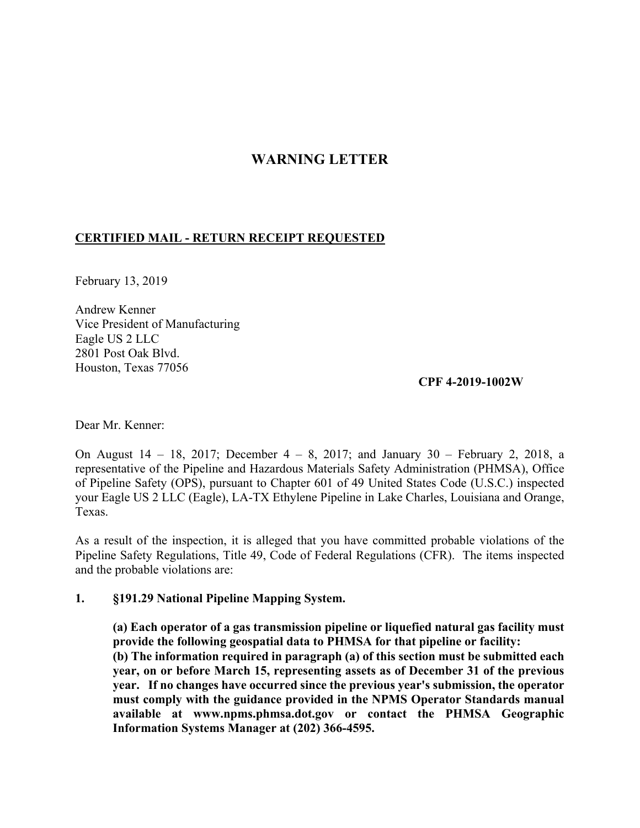# **WARNING LETTER**

## **CERTIFIED MAIL - RETURN RECEIPT REQUESTED**

February 13, 2019

Andrew Kenner Vice President of Manufacturing Eagle US 2 LLC 2801 Post Oak Blvd. Houston, Texas 77056

**CPF 4-2019-1002W**

Dear Mr. Kenner:

On August 14 – 18, 2017; December 4 – 8, 2017; and January 30 – February 2, 2018, a representative of the Pipeline and Hazardous Materials Safety Administration (PHMSA), Office of Pipeline Safety (OPS), pursuant to Chapter 601 of 49 United States Code (U.S.C.) inspected your Eagle US 2 LLC (Eagle), LA-TX Ethylene Pipeline in Lake Charles, Louisiana and Orange, Texas.

 Pipeline Safety Regulations, Title 49, Code of Federal Regulations (CFR). The items inspected As a result of the inspection, it is alleged that you have committed probable violations of the and the probable violations are:

#### **1. §191.29 National Pipeline Mapping System.**

 **(a) Each operator of a gas transmission pipeline or liquefied natural gas facility must provide the following geospatial data to PHMSA for that pipeline or facility: (b) The information required in paragraph (a) of this section must be submitted each year, on or before March 15, representing assets as of December 31 of the previous year. If no changes have occurred since the previous year's submission, the operator must comply with the guidance provided in the NPMS Operator Standards manual available at <www.npms.phmsa.dot.gov>or contact the PHMSA Geographic Information Systems Manager at (202) 366-4595.**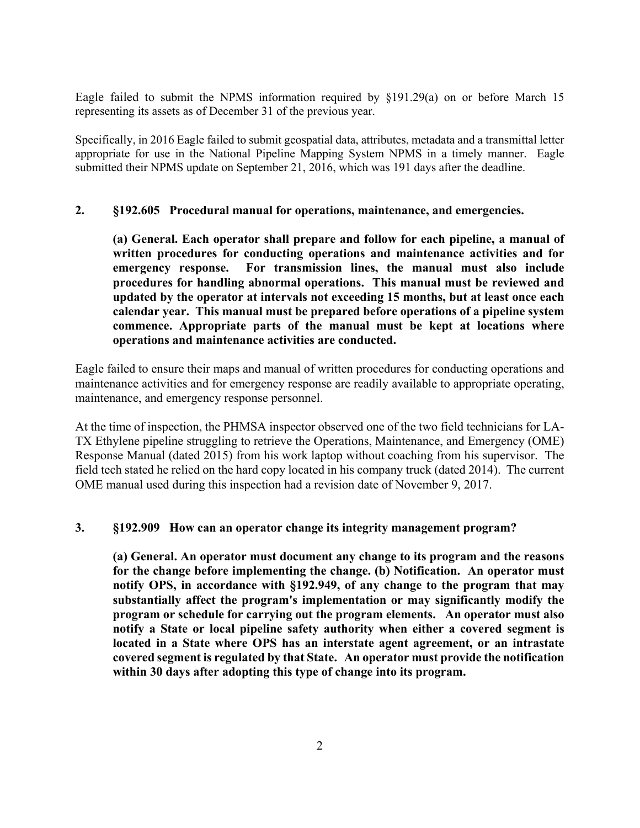Eagle failed to submit the NPMS information required by §191.29(a) on or before March 15 representing its assets as of December 31 of the previous year.

 appropriate for use in the National Pipeline Mapping System NPMS in a timely manner. Eagle Specifically, in 2016 Eagle failed to submit geospatial data, attributes, metadata and a transmittal letter submitted their NPMS update on September 21, 2016, which was 191 days after the deadline.

#### **2. §192.605 Procedural manual for operations, maintenance, and emergencies.**

emergency response.  **commence. Appropriate parts of the manual must be kept at locations where (a) General. Each operator shall prepare and follow for each pipeline, a manual of written procedures for conducting operations and maintenance activities and for**  For transmission lines, the manual must also include **procedures for handling abnormal operations. This manual must be reviewed and updated by the operator at intervals not exceeding 15 months, but at least once each calendar year. This manual must be prepared before operations of a pipeline system operations and maintenance activities are conducted.** 

Eagle failed to ensure their maps and manual of written procedures for conducting operations and maintenance activities and for emergency response are readily available to appropriate operating, maintenance, and emergency response personnel.

 field tech stated he relied on the hard copy located in his company truck (dated 2014). The current At the time of inspection, the PHMSA inspector observed one of the two field technicians for LA-TX Ethylene pipeline struggling to retrieve the Operations, Maintenance, and Emergency (OME) Response Manual (dated 2015) from his work laptop without coaching from his supervisor. The OME manual used during this inspection had a revision date of November 9, 2017.

#### **3. §192.909 How can an operator change its integrity management program?**

 **program or schedule for carrying out the program elements. An operator must also notify a State or local pipeline safety authority when either a covered segment is covered segment is regulated by that State. An operator must provide the notification (a) General. An operator must document any change to its program and the reasons for the change before implementing the change. (b) Notification. An operator must notify OPS, in accordance with §192.949, of any change to the program that may substantially affect the program's implementation or may significantly modify the located in a State where OPS has an interstate agent agreement, or an intrastate within 30 days after adopting this type of change into its program.**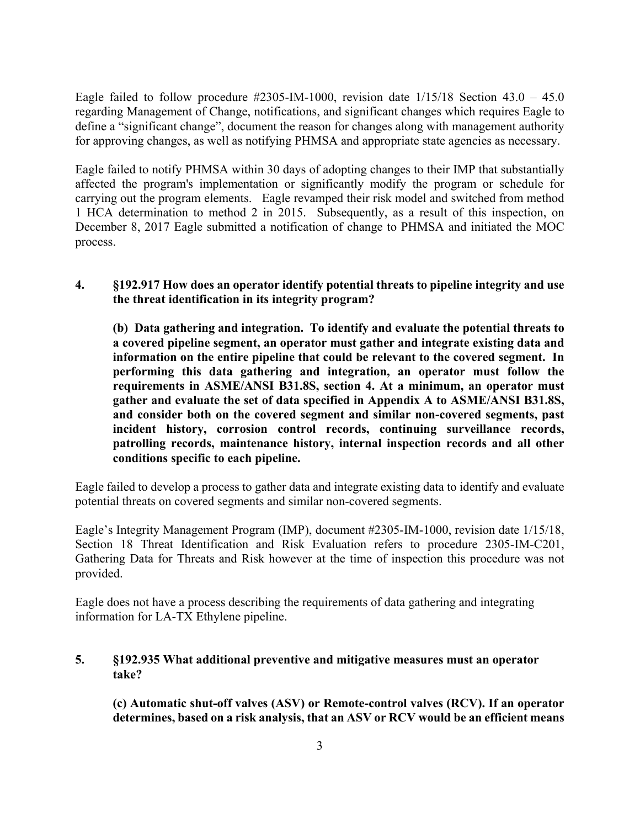Eagle failed to follow procedure  $\text{\#2305-IM-1000}$ , revision date  $1/15/18$  Section 43.0 – 45.0 regarding Management of Change, notifications, and significant changes which requires Eagle to define a "significant change", document the reason for changes along with management authority for approving changes, as well as notifying PHMSA and appropriate state agencies as necessary.

 Eagle failed to notify PHMSA within 30 days of adopting changes to their IMP that substantially carrying out the program elements. Eagle revamped their risk model and switched from method affected the program's implementation or significantly modify the program or schedule for 1 HCA determination to method 2 in 2015. Subsequently, as a result of this inspection, on December 8, 2017 Eagle submitted a notification of change to PHMSA and initiated the MOC process.

### **4. §192.917 How does an operator identify potential threats to pipeline integrity and use the threat identification in its integrity program?**

**(b) Data gathering and integration. To identify and evaluate the potential threats to a covered pipeline segment, an operator must gather and integrate existing data and information on the entire pipeline that could be relevant to the covered segment. In performing this data gathering and integration, an operator must follow the requirements in ASME/ANSI B31.8S, section 4. At a minimum, an operator must gather and evaluate the set of data specified in Appendix A to ASME/ANSI B31.8S, and consider both on the covered segment and similar non-covered segments, past incident history, corrosion control records, continuing surveillance records, patrolling records, maintenance history, internal inspection records and all other conditions specific to each pipeline.** 

Eagle failed to develop a process to gather data and integrate existing data to identify and evaluate potential threats on covered segments and similar non-covered segments.

 Gathering Data for Threats and Risk however at the time of inspection this procedure was not Eagle's Integrity Management Program (IMP), document #2305-IM-1000, revision date 1/15/18, Section 18 Threat Identification and Risk Evaluation refers to procedure 2305-IM-C201, provided.

Eagle does not have a process describing the requirements of data gathering and integrating information for LA-TX Ethylene pipeline.

## **5. §192.935 What additional preventive and mitigative measures must an operator take?**

**(c) Automatic shut-off valves (ASV) or Remote-control valves (RCV). If an operator determines, based on a risk analysis, that an ASV or RCV would be an efficient means**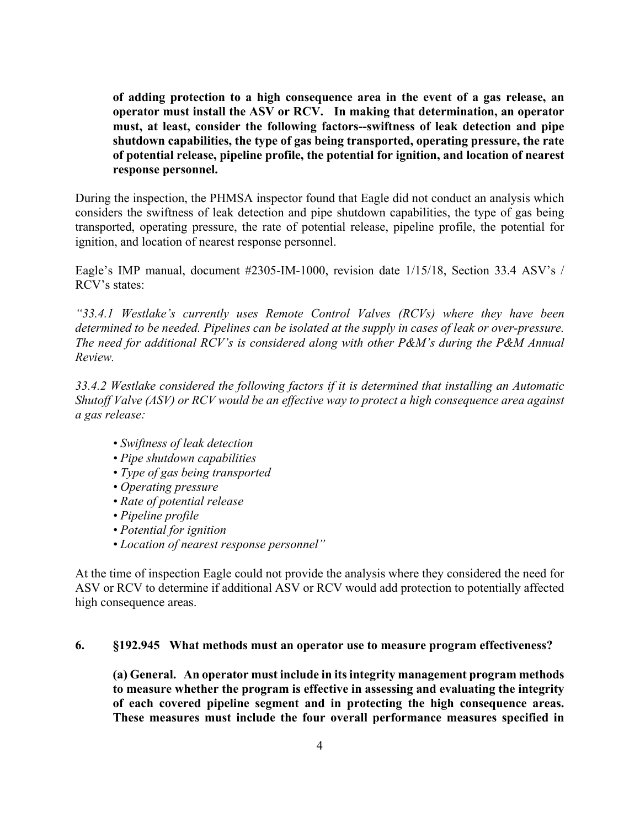**of adding protection to a high consequence area in the event of a gas release, an operator must install the ASV or RCV. In making that determination, an operator shutdown capabilities, the type of gas being transported, operating pressure, the rate must, at least, consider the following factors--swiftness of leak detection and pipe of potential release, pipeline profile, the potential for ignition, and location of nearest response personnel.** 

 transported, operating pressure, the rate of potential release, pipeline profile, the potential for During the inspection, the PHMSA inspector found that Eagle did not conduct an analysis which considers the swiftness of leak detection and pipe shutdown capabilities, the type of gas being ignition, and location of nearest response personnel.

Eagle's IMP manual, document #2305-IM-1000, revision date 1/15/18, Section 33.4 ASV's / RCV's states:

*"33.4.1 Westlake's currently uses Remote Control Valves (RCVs) where they have been determined to be needed. Pipelines can be isolated at the supply in cases of leak or over-pressure. The need for additional RCV's is considered along with other P&M's during the P&M Annual Review.* 

*33.4.2 Westlake considered the following factors if it is determined that installing an Automatic Shutoff Valve (ASV) or RCV would be an effective way to protect a high consequence area against a gas release:* 

- *Swiftness of leak detection*
- *Pipe shutdown capabilities*
- *Type of gas being transported*
- *Operating pressure*
- *Rate of potential release*
- *Pipeline profile*
- *Potential for ignition*
- *Location of nearest response personnel"*

At the time of inspection Eagle could not provide the analysis where they considered the need for ASV or RCV to determine if additional ASV or RCV would add protection to potentially affected high consequence areas.

#### **6. §192.945 What methods must an operator use to measure program effectiveness?**

 **(a) General. An operator must include in itsintegrity management program methods to measure whether the program is effective in assessing and evaluating the integrity of each covered pipeline segment and in protecting the high consequence areas. These measures must include the four overall performance measures specified in**